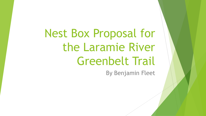Nest Box Proposal for the Laramie River Greenbelt Trail

By Benjamin Fleet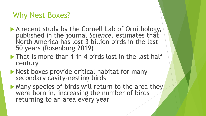### Why Nest Boxes?

- A recent study by the Cornell Lab of Ornithology, published in the journal *Science,* estimates that North America has lost 3 billion birds in the last 50 years (Rosenburg 2019)
- $\blacktriangleright$  That is more than 1 in 4 birds lost in the last half century
- Nest boxes provide critical habitat for many secondary cavity-nesting birds
- Many species of birds will return to the area they were born in, increasing the number of birds returning to an area every year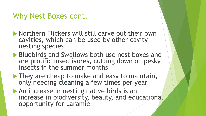#### Why Nest Boxes cont.

- **Northern Flickers will still carve out their own** cavities, which can be used by other cavity nesting species
- **Bluebirds and Swallows both use nest boxes and** are prolific insectivores, cutting down on pesky insects in the summer months
- $\blacktriangleright$  They are cheap to make and easy to maintain, only needing cleaning a few times per year
- An increase in nesting native birds is an increase in biodiversity, beauty, and educational opportunity for Laramie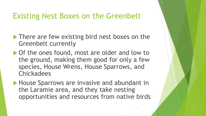### Existing Nest Boxes on the Greenbelt

- **There are few existing bird nest boxes on the** Greenbelt currently
- ▶ Of the ones found, most are older and low to the ground, making them good for only a few species, House Wrens, House Sparrows, and **Chickadees**
- House Sparrows are invasive and abundant in the Laramie area, and they take nesting opportunities and resources from native birds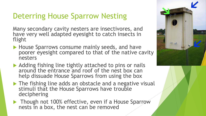## Deterring House Sparrow Nesting

Many secondary cavity nesters are insectivores, and have very well adapted eyesight to catch insects in flight

- House Sparrows consume mainly seeds, and have poorer eyesight compared to that of the native cavity nesters
- Adding fishing line tightly attached to pins or nails around the entrance and roof of the nest box can help dissuade House Sparrows from using the box
- The fishing line adds an obstacle and a negative visual stimuli that the House Sparrows have trouble deciphering
- Though not 100% effective, even if a House Sparrow nests in a box, the nest can be removed

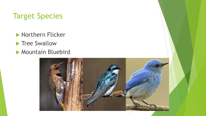## Target Species

**Northern Flicker** 

- **Tree Swallow**
- **Mountain Bluebird**

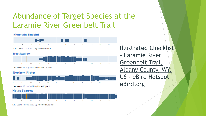# Abundance of Target Species at the Laramie River Greenbelt Trail

#### **Mountain Bluebird**



Last seen: 17 Jun 2021 by Diane Thomas

#### **Tree Swallow**



Last seen: 27 Aug 2021 by Diane Thomas

#### **Northern Flicker**



**House Sparrow** 



Last seen: 16 Feb 2022 by Johnny Stutzman

**Illustrated Checklist** - Laramie River Greenbelt Trail, Albany County, WY, US - eBird Hotspot eBird.org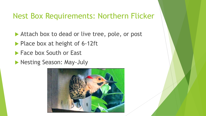### Nest Box Requirements: Northern Flicker

- Attach box to dead or live tree, pole, or post
- Place box at height of 6-12ft
- **Face box South or East**
- **Nesting Season: May-July**

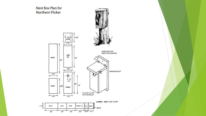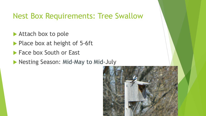### Nest Box Requirements: Tree Swallow

- ▶ Attach box to pole
- Place box at height of 5-6ft
- **Face box South or East**
- **Nesting Season: Mid-May to Mid-July**

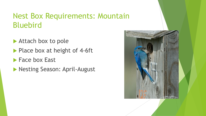## Nest Box Requirements: Mountain Bluebird

- Attach box to pole
- Place box at height of 4-6ft
- **Face box East**
- **Nesting Season: April-August**

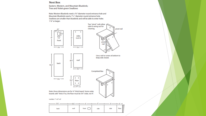#### **Nest Box**

Eastern, Western, and Mountain Bluebirds; Tree and Violet-green Swallows

Note: Western Bluebirds need a 11/2" diameter round entrance hole and Mountain Bluebirds need a 1%" diameter round entrance hole. Swallows are smaller than bluebirds and will be able to enter holes 1 %" or larger.



| 1316* | $9167 -$ |       |      | $9 - + 4 -$ |                        |
|-------|----------|-------|------|-------------|------------------------|
| back  | roof     | front | side | side        | floor<br>$\frac{1}{2}$ |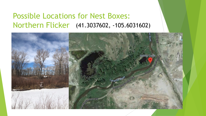### Possible Locations for Nest Boxes: Northern Flicker (41.3037602, -105.6031602)

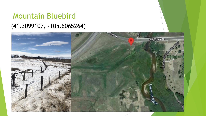## Mountain Bluebird (41.3099107, -105.6065264)

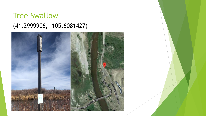## **Tree Swallow** (41.2999906, -105.6081427)